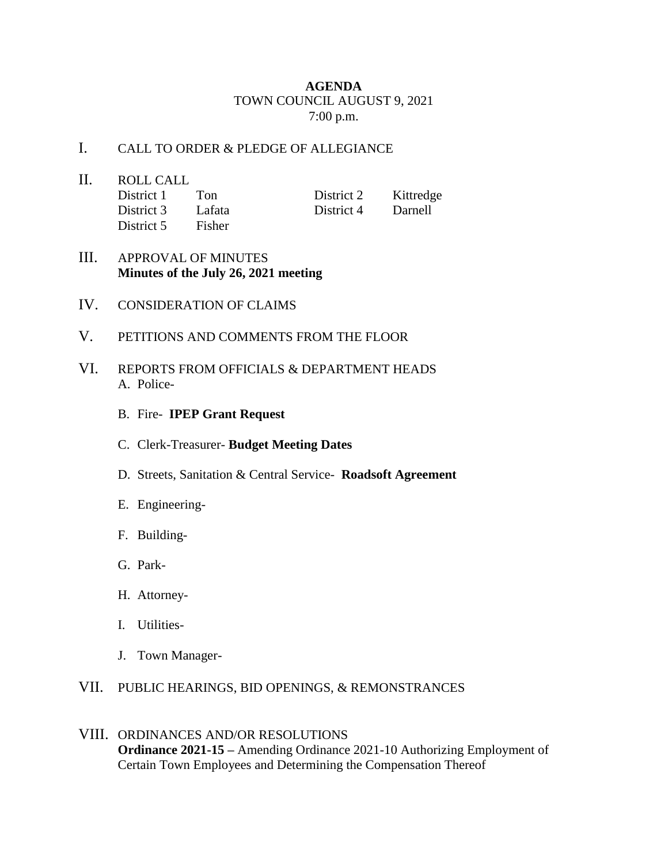## **AGENDA** TOWN COUNCIL AUGUST 9, 2021 7:00 p.m.

## I. CALL TO ORDER & PLEDGE OF ALLEGIANCE

- II. ROLL CALL District 1 Ton District 2 Kittredge District 3 Lafata District 4 Darnell District 5 Fisher
- III. APPROVAL OF MINUTES **Minutes of the July 26, 2021 meeting**
- IV. CONSIDERATION OF CLAIMS
- V. PETITIONS AND COMMENTS FROM THE FLOOR
- VI. REPORTS FROM OFFICIALS & DEPARTMENT HEADS A. Police-
	- B. Fire- **IPEP Grant Request**
	- C. Clerk-Treasurer- **Budget Meeting Dates**
	- D. Streets, Sanitation & Central Service- **Roadsoft Agreement**
	- E. Engineering-
	- F. Building-
	- G. Park-
	- H. Attorney-
	- I. Utilities-
	- J. Town Manager-
- VII. PUBLIC HEARINGS, BID OPENINGS, & REMONSTRANCES

## VIII. ORDINANCES AND/OR RESOLUTIONS **Ordinance 2021-15 –** Amending Ordinance 2021-10 Authorizing Employment of Certain Town Employees and Determining the Compensation Thereof